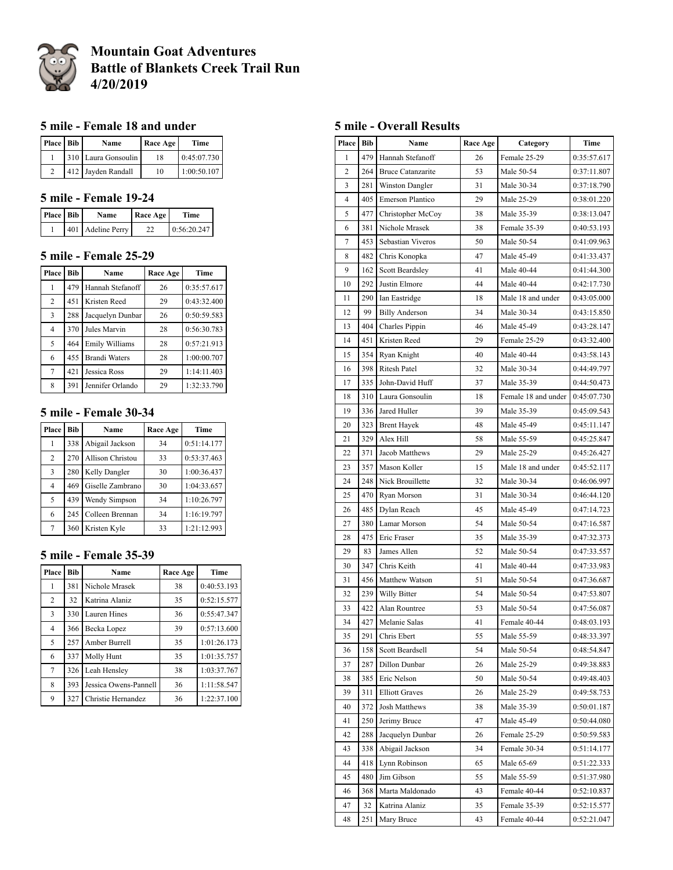

# **Mountain Goat Adventures Battle of Blankets Creek Trail Run 4/20/2019**

## **5 mile - Female 18 and under**

| Place Bib | Name                | Race Age | Time        |
|-----------|---------------------|----------|-------------|
|           | 310 Laura Gonsoulin | 18       | 0:45:07.730 |
|           | 412 Javden Randall  | 10       | 1:00:50.107 |

## **5 mile - Female 19-24**

| Place Bib | Name              | Race Age | Time        |
|-----------|-------------------|----------|-------------|
|           | 401 Adeline Perry | 22       | 0:56:20.247 |

#### **5 mile - Female 25-29**

| Place          | <b>Bib</b> | Name                 | Race Age | Time        |
|----------------|------------|----------------------|----------|-------------|
| 1              | 479        | Hannah Stefanoff     | 26       | 0:35:57.617 |
| $\overline{c}$ | 451        | Kristen Reed         | 29       | 0:43:32.400 |
| 3              | 288        | Jacquelyn Dunbar     | 26       | 0:50:59.583 |
| $\overline{4}$ | 370        | Jules Marvin         | 28       | 0:56:30.783 |
| 5              | 464        | Emily Williams       | 28       | 0:57:21.913 |
| 6              | 455        | <b>Brandi Waters</b> | 28       | 1:00:00.707 |
| 7              | 421        | Jessica Ross         | 29       | 1:14:11.403 |
| 8              | 391        | Jennifer Orlando     | 29       | 1:32:33.790 |

#### **5 mile - Female 30-34**

| Place          | Bib | Name                    | Race Age | <b>Time</b> |
|----------------|-----|-------------------------|----------|-------------|
|                | 338 | Abigail Jackson         | 34       | 0:51:14.177 |
| 2              | 270 | <b>Allison Christou</b> | 33       | 0:53:37.463 |
| 3              | 280 | Kelly Dangler           | 30       | 1:00:36.437 |
| $\overline{4}$ | 469 | Giselle Zambrano        | 30       | 1:04:33.657 |
| 5              | 439 | Wendy Simpson           | 34       | 1:10:26.797 |
| 6              | 245 | Colleen Brennan         | 34       | 1:16:19.797 |
| 7              | 360 | Kristen Kyle            | 33       | 1:21:12.993 |

#### **5 mile - Female 35-39**

| Place | Bib | Name                  | Race Age | Time        |
|-------|-----|-----------------------|----------|-------------|
| 1     | 381 | Nichole Mrasek        | 38       | 0:40:53.193 |
| 2     | 32  | Katrina Alaniz        | 35       | 0:52:15.577 |
| 3     | 330 | Lauren Hines          | 36       | 0:55:47.347 |
| 4     | 366 | Becka Lopez           | 39       | 0:57:13.600 |
| 5     | 257 | Amber Burrell         | 35       | 1:01:26.173 |
| 6     | 337 | Molly Hunt            | 35       | 1:01:35.757 |
| 7     | 326 | Leah Hensley          | 38       | 1:03:37.767 |
| 8     | 393 | Jessica Owens-Pannell | 36       | 1:11:58.547 |
| 9     | 327 | Christie Hernandez    | 36       | 1:22:37.100 |

### **5 mile - Overall Results**

| Place          | Bib        | Name<br><b>Race Age</b><br>Category |          | Time                     |                            |
|----------------|------------|-------------------------------------|----------|--------------------------|----------------------------|
| 1              | 479        | Hannah Stefanoff                    | 26       | Female 25-29             | 0:35:57.617                |
| $\overline{2}$ | 264        | <b>Bruce Catanzarite</b>            | 53       | Male 50-54               | 0:37:11.807                |
| 3              | 281        | Winston Dangler                     | 31       | Male 30-34               | 0:37:18.790                |
| 4              | 405        | Emerson Plantico                    | 29       | Male 25-29               | 0:38:01.220                |
| 5              | 477        | Christopher McCoy                   | 38       | Male 35-39               | 0:38:13.047                |
| 6              | 381        | Nichole Mrasek                      | 38       | Female 35-39             | 0:40:53.193                |
| 7              | 453        | Sebastian Viveros                   | 50       | Male 50-54               | 0:41:09.963                |
| 8              | 482        | Chris Konopka                       | 47       | Male 45-49               | 0:41:33.437                |
| 9              | 162        | <b>Scott Beardsley</b>              | 41       | Male 40-44               | 0:41:44.300                |
| 10             | 292        | Justin Elmore                       | 44       | Male 40-44               | 0:42:17.730                |
| 11             | 290        | Ian Eastridge                       | 18       | Male 18 and under        | 0:43:05.000                |
| 12             | 99         | <b>Billy Anderson</b>               | 34       | Male 30-34               | 0:43:15.850                |
| 13             | 404        | Charles Pippin                      | 46       | Male 45-49               | 0:43:28.147                |
| 14             | 451        | Kristen Reed                        | 29       | Female 25-29             | 0:43:32.400                |
| 15             | 354        | Ryan Knight                         | 40       | Male 40-44               | 0:43:58.143                |
| 16             | 398        | <b>Ritesh Patel</b>                 | 32       | Male 30-34               | 0:44:49.797                |
| 17             | 335        | John-David Huff                     | 37       | Male 35-39               | 0:44:50.473                |
| 18             | 310        | Laura Gonsoulin                     | 18       | Female 18 and under      | 0:45:07.730                |
| 19             | 336        | Jared Huller                        | 39       | Male 35-39               | 0:45:09.543                |
| 20             | 323        | <b>Brent Hayek</b>                  | 48       | Male 45-49               | 0:45:11.147                |
| 21             | 329        | Alex Hill                           | 58       | Male 55-59               | 0:45:25.847                |
| 22             | 371        | Jacob Matthews                      | 29       | Male 25-29               | 0:45:26.427                |
| 23             | 357        | Mason Koller                        | 15       | Male 18 and under        | 0:45:52.117                |
| 24             | 248        | Nick Brouillette                    | 32       | Male 30-34               | 0:46:06.997                |
| 25             | 470        | Ryan Morson                         | 31       | Male 30-34               | 0:46:44.120                |
| 26             | 485        | Dylan Reach                         | 45       | Male 45-49               | 0:47:14.723                |
| 27             | 380        | Lamar Morson                        | 54       | Male 50-54               | 0:47:16.587                |
| 28             | 475        | Eric Fraser                         | 35       | Male 35-39               | 0:47:32.373                |
| 29             | 83         | James Allen                         | 52       | Male 50-54               | 0:47:33.557                |
| 30             | 347        | Chris Keith                         | 41       | Male 40-44               | 0:47:33.983                |
| 31             | 456        | Matthew Watson                      | 51       | Male 50-54               | 0:47:36.687                |
| 32             | 239        | Willy Bitter                        | 54       | Male 50-54               | 0:47:53.807                |
| 33             | 422        | Alan Rountree                       | 53       | Male 50-54               | 0:47:56.087                |
| 34             | 427        | Melanie Salas<br>Chris Ebert        | 41       | Female 40-44             | 0:48:03.193<br>0:48:33.397 |
| 35             | 291        | Scott Beardsell                     | 55       | Male 55-59               |                            |
| 36             | 158        |                                     | 54       | Male 50-54               | 0:48:54.847                |
| 37<br>38       | 287<br>385 | Dillon Dunbar<br>Eric Nelson        | 26<br>50 | Male 25-29<br>Male 50-54 | 0:49:38.883<br>0:49:48.403 |
| 39             | 311        | <b>Elliott Graves</b>               | 26       | Male 25-29               | 0:49:58.753                |
| 40             | 372        | Josh Matthews                       | 38       |                          |                            |
| 41             | 250        | Jerimy Bruce                        | 47       | Male 35-39<br>Male 45-49 | 0:50:01.187<br>0:50:44.080 |
| 42             | 288        | Jacquelyn Dunbar                    | 26       | Female 25-29             | 0:50:59.583                |
| 43             | 338        | Abigail Jackson                     | 34       | Female 30-34             | 0:51:14.177                |
| 44             | 418        | Lynn Robinson                       | 65       | Male 65-69               | 0:51:22.333                |
| 45             | 480        | Jim Gibson                          | 55       | Male 55-59               | 0:51:37.980                |
| 46             | 368        | Marta Maldonado                     | 43       | Female 40-44             | 0:52:10.837                |
| 47             | 32         | Katrina Alaniz                      | 35       | Female 35-39             | 0:52:15.577                |
| 48             | 251        |                                     | 43       | Female 40-44             | 0:52:21.047                |
|                |            | Mary Bruce                          |          |                          |                            |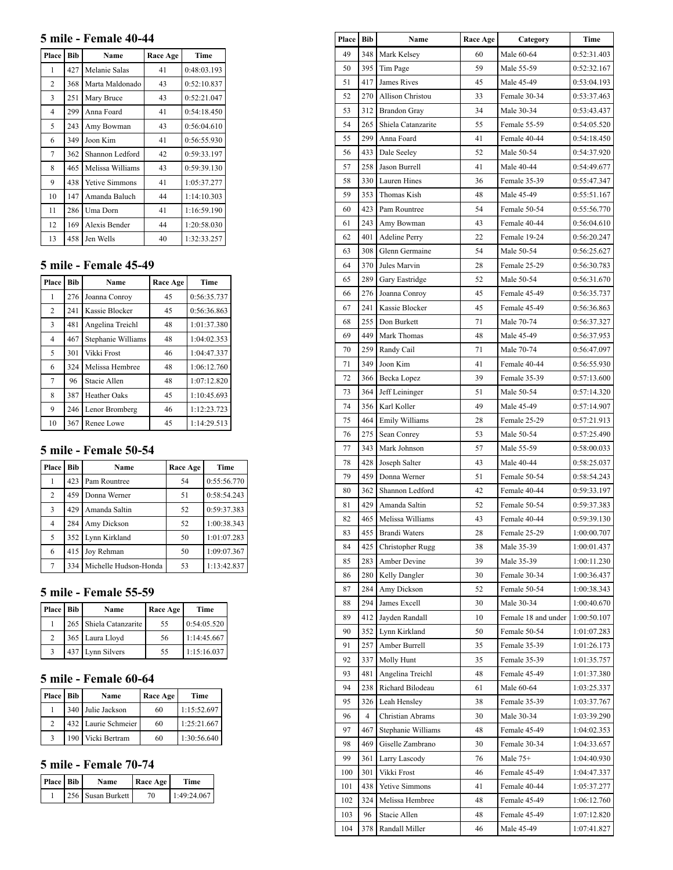#### **5 mile - Female 40-44**

| Place | <b>Bib</b> | Name                  | Race Age | Time        |
|-------|------------|-----------------------|----------|-------------|
| 1     | 427        | Melanie Salas         | 41       | 0:48:03.193 |
| 2     | 368        | Marta Maldonado       | 43       | 0:52:10.837 |
| 3     | 251        | Mary Bruce            | 43       | 0:52:21.047 |
| 4     | 299        | Anna Foard            | 41       | 0:54:18.450 |
| 5     | 243        | Amy Bowman            | 43       | 0:56:04.610 |
| 6     | 349        | Joon Kim              | 41       | 0:56:55.930 |
| 7     | 362        | Shannon Ledford       | 42       | 0:59:33.197 |
| 8     | 465        | Melissa Williams      | 43       | 0:59:39.130 |
| 9     | 438        | <b>Yetive Simmons</b> | 41       | 1:05:37.277 |
| 10    | 147        | Amanda Baluch         | 44       | 1:14:10.303 |
| 11    | 286        | Uma Dorn              | 41       | 1:16:59.190 |
| 12    | 169        | Alexis Bender         | 44       | 1:20:58.030 |
| 13    | 458        | Jen Wells             | 40       | 1:32:33.257 |

# **5 mile - Female 45-49**

|                | 1 VIIIUIV IV |                     |          |             |  |
|----------------|--------------|---------------------|----------|-------------|--|
| Place          | Bib          | Name                | Race Age | Time        |  |
| 1              | 276          | Joanna Conroy       | 45       | 0:56:35.737 |  |
| $\overline{2}$ | 241          | Kassie Blocker      | 45       | 0:56:36.863 |  |
| 3              | 481          | Angelina Treichl    | 48       | 1:01:37.380 |  |
| 4              | 467          | Stephanie Williams  | 48       | 1:04:02.353 |  |
| 5              | 301          | Vikki Frost         | 46       | 1:04:47.337 |  |
| 6              | 324          | Melissa Hembree     | 48       | 1:06:12.760 |  |
| 7              | 96           | Stacie Allen        | 48       | 1:07:12.820 |  |
| 8              | 387          | <b>Heather Oaks</b> | 45       | 1:10:45.693 |  |
| 9              | 246          | Lenor Bromberg      | 46       | 1:12:23.723 |  |
| 10             | 367          | Renee Lowe          | 45       | 1:14:29.513 |  |
|                |              |                     |          |             |  |

## **5 mile - Female 50-54**

| Place          | <b>Bib</b> | Name                  | Race Age | Time        |
|----------------|------------|-----------------------|----------|-------------|
|                | 423        | Pam Rountree          | 54       | 0:55:56.770 |
| $\overline{2}$ | 459        | Donna Werner          | 51       | 0:58:54.243 |
| 3              | 429        | Amanda Saltin         | 52       | 0:59:37.383 |
| $\overline{4}$ | 284        | Amy Dickson           | 52       | 1:00:38.343 |
| 5              | 352        | Lynn Kirkland         | 50       | 1:01:07.283 |
| 6              | 415        | Joy Rehman            | 50       | 1:09:07.367 |
| 7              | 334        | Michelle Hudson-Honda | 53       | 1:13:42.837 |

#### **5 mile - Female 55-59**

| Place          | Bib | Name                   | Race Age | Time        |
|----------------|-----|------------------------|----------|-------------|
|                |     | 265 Shiela Catanzarite | 55       | 0:54:05.520 |
| $\mathfrak{D}$ |     | 365 Laura Lloyd        | 56       | 1:14:45.667 |
|                |     | 437 Lynn Silvers       | 55       | 1:15:16.037 |

# **5 mile - Female 60-64**

| Place         | <b>Bib</b> | Name                | Race Age | Time        |
|---------------|------------|---------------------|----------|-------------|
|               |            | 340 Julie Jackson   | 60       | 1:15:52.697 |
| $\mathcal{D}$ |            | 432 Laurie Schmeier | 60       | 1:25:21.667 |
|               |            | 190 Vicki Bertram   | 60       | 1:30:56.640 |

# **5 mile - Female 70-74**

| <b>Place</b> Bib | Name              | Race Age | <b>Time</b> |
|------------------|-------------------|----------|-------------|
|                  | 256 Susan Burkett | 70       | 1:49:24.067 |

| Place | Bib | Name<br><b>Race Age</b> |    | Category            | <b>Time</b> |
|-------|-----|-------------------------|----|---------------------|-------------|
| 49    | 348 | Mark Kelsey             | 60 | Male 60-64          | 0:52:31.403 |
| 50    | 395 | Tim Page                | 59 | Male 55-59          | 0:52:32.167 |
| 51    | 417 | James Rives             | 45 | Male 45-49          | 0:53:04.193 |
| 52    | 270 | Allison Christou        | 33 | Female 30-34        | 0:53:37.463 |
| 53    | 312 | <b>Brandon Gray</b>     | 34 | Male 30-34          | 0:53:43.437 |
| 54    | 265 | Shiela Catanzarite      | 55 | Female 55-59        | 0:54:05.520 |
| 55    | 299 | Anna Foard              | 41 | Female 40-44        | 0:54:18.450 |
| 56    | 433 | Dale Seeley             | 52 | Male 50-54          | 0:54:37.920 |
| 57    | 258 | Jason Burrell           | 41 | Male 40-44          | 0:54:49.677 |
| 58    | 330 | Lauren Hines            | 36 | Female 35-39        | 0:55:47.347 |
| 59    | 353 | Thomas Kish             | 48 | Male 45-49          | 0:55:51.167 |
| 60    | 423 | Pam Rountree            | 54 | Female 50-54        | 0:55:56.770 |
| 61    | 243 | Amy Bowman              | 43 | Female 40-44        | 0:56:04.610 |
| 62    | 401 | <b>Adeline Perry</b>    | 22 | Female 19-24        | 0:56:20.247 |
| 63    | 308 | Glenn Germaine          | 54 | Male 50-54          | 0:56:25.627 |
| 64    | 370 | Jules Marvin            | 28 | Female 25-29        | 0:56:30.783 |
| 65    | 289 | Gary Eastridge          | 52 | Male 50-54          | 0:56:31.670 |
| 66    | 276 | Joanna Conroy           | 45 | Female 45-49        | 0:56:35.737 |
| 67    | 241 | Kassie Blocker          | 45 | Female 45-49        | 0:56:36.863 |
| 68    | 255 | Don Burkett             | 71 | Male 70-74          | 0:56:37.327 |
| 69    | 449 | Mark Thomas             | 48 | Male 45-49          | 0:56:37.953 |
| 70    | 259 | Randy Cail              | 71 | Male 70-74          | 0:56:47.097 |
| 71    | 349 | Joon Kim                | 41 | Female 40-44        | 0:56:55.930 |
| 72    | 366 | Becka Lopez             | 39 | Female 35-39        | 0:57:13.600 |
| 73    | 364 | Jeff Leininger          | 51 | Male 50-54          | 0:57:14.320 |
| 74    | 356 | Karl Koller             | 49 | Male 45-49          | 0:57:14.907 |
| 75    | 464 | Emily Williams          | 28 | Female 25-29        | 0:57:21.913 |
| 76    | 275 | Sean Conrey             | 53 | Male 50-54          | 0:57:25.490 |
| 77    | 343 | Mark Johnson            | 57 | Male 55-59          | 0:58:00.033 |
| 78    | 428 | Joseph Salter           | 43 | Male 40-44          | 0:58:25.037 |
| 79    | 459 | Donna Werner            | 51 | Female 50-54        | 0:58:54.243 |
| 80    | 362 | Shannon Ledford         | 42 | Female 40-44        | 0:59:33.197 |
| 81    | 429 | Amanda Saltin           | 52 | Female 50-54        | 0:59:37.383 |
| 82    | 465 | Melissa Williams        | 43 | Female 40-44        | 0:59:39.130 |
| 83    | 455 | Brandi Waters           | 28 | Female 25-29        | 1:00:00.707 |
| 84    | 425 | Christopher Rugg        | 38 | Male 35-39          | 1:00:01.437 |
| 85    | 283 | Amber Devine            | 39 | Male 35-39          | 1:00:11.230 |
| 86    | 280 | Kelly Dangler           | 30 | Female 30-34        | 1:00:36.437 |
| 87    | 284 | Amy Dickson             | 52 | Female 50-54        | 1:00:38.343 |
| 88    | 294 | James Excell            | 30 | Male 30-34          | 1:00:40.670 |
| 89    | 412 | Jayden Randall          | 10 | Female 18 and under | 1:00:50.107 |
| 90    | 352 | Lynn Kirkland           | 50 | Female 50-54        | 1:01:07.283 |
| 91    | 257 | Amber Burrell           | 35 | Female 35-39        | 1:01:26.173 |
| 92    | 337 | Molly Hunt              | 35 | Female 35-39        | 1:01:35.757 |
| 93    | 481 | Angelina Treichl        | 48 | Female 45-49        | 1:01:37.380 |
| 94    | 238 | Richard Bilodeau        | 61 | Male 60-64          | 1:03:25.337 |
| 95    | 326 | Leah Hensley            | 38 | Female 35-39        | 1:03:37.767 |
| 96    | 4   | Christian Abrams        | 30 | Male 30-34          | 1:03:39.290 |
| 97    | 467 | Stephanie Williams      | 48 | Female 45-49        | 1:04:02.353 |
| 98    | 469 | Giselle Zambrano        | 30 | Female 30-34        | 1:04:33.657 |
| 99    | 361 | Larry Lascody           | 76 | Male $75+$          | 1:04:40.930 |
| 100   | 301 | Vikki Frost             | 46 | Female 45-49        | 1:04:47.337 |
| 101   | 438 | Yetive Simmons          | 41 | Female 40-44        | 1:05:37.277 |
| 102   | 324 | Melissa Hembree         | 48 | Female 45-49        | 1:06:12.760 |
| 103   | 96  | Stacie Allen            | 48 | Female 45-49        | 1:07:12.820 |
| 104   | 378 | Randall Miller          | 46 | Male 45-49          | 1:07:41.827 |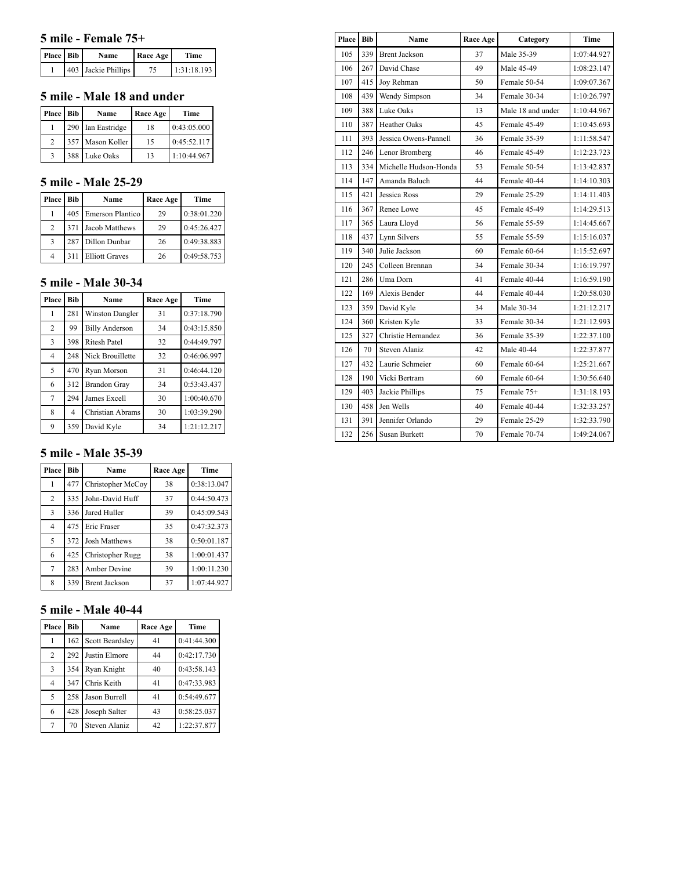#### **5 mile - Female 75+**

| Place Bib | Name                | Race Age | <b>Time</b> |
|-----------|---------------------|----------|-------------|
|           | 403 Jackie Phillips | 75       | 1:31:18.193 |

#### **5 mile - Male 18 and under**

| Place Bib | Name              | Race Age | Time        |
|-----------|-------------------|----------|-------------|
|           | 290 Ian Eastridge | 18       | 0:43:05.000 |
| 2         | 357 Mason Koller  | 15       | 0:45:52.117 |
|           | 388 Luke Oaks     | 13       | 1:10:44.967 |

#### **5 mile - Male 25-29**

| Place | Bib | Name                    | Race Age | Time        |
|-------|-----|-------------------------|----------|-------------|
|       | 405 | <b>Emerson Plantico</b> | 29       | 0:38:01.220 |
| 2     |     | 371 Jacob Matthews      | 29       | 0:45:26.427 |
| 3     |     | 287   Dillon Dunbar     | 26       | 0:49:38.883 |
|       | 311 | <b>Elliott Graves</b>   | 26       | 0:49:58.753 |

## **5 mile - Male 30-34**

| Place          | <b>Bib</b> | Name                   | Race Age | Time        |
|----------------|------------|------------------------|----------|-------------|
| 1              | 281        | <b>Winston Dangler</b> | 31       | 0:37:18.790 |
| $\overline{c}$ | 99         | <b>Billy Anderson</b>  | 34       | 0:43:15.850 |
| 3              | 398        | <b>Ritesh Patel</b>    | 32       | 0:44:49.797 |
| $\overline{4}$ | 248        | Nick Brouillette       | 32       | 0:46:06.997 |
| 5              | 470        | Ryan Morson            | 31       | 0:46:44.120 |
| 6              | 312        | <b>Brandon Gray</b>    | 34       | 0:53:43.437 |
| 7              | 294        | James Excell           | 30       | 1:00:40.670 |
| 8              | 4          | Christian Abrams       | 30       | 1:03:39.290 |
| 9              | 359        | David Kyle             | 34       | 1:21:12.217 |

#### **5 mile - Male 35-39**

| Place          | Bib | Name                 | Race Age | Time        |
|----------------|-----|----------------------|----------|-------------|
| 1              | 477 | Christopher McCoy    | 38       | 0:38:13.047 |
| 2              | 335 | John-David Huff      | 37       | 0:44:50.473 |
| 3              | 336 | Jared Huller         | 39       | 0:45:09.543 |
| $\overline{4}$ | 475 | <b>Eric Fraser</b>   | 35       | 0:47:32.373 |
| 5              | 372 | <b>Josh Matthews</b> | 38       | 0:50:01.187 |
| 6              | 425 | Christopher Rugg     | 38       | 1:00:01.437 |
| 7              | 283 | Amber Devine         | 39       | 1:00:11.230 |
| 8              | 339 | <b>Brent Jackson</b> | 37       | 1:07:44.927 |

# **5 mile - Male 40-44**

| Place          | Bib | Name                   | Race Age | Time        |
|----------------|-----|------------------------|----------|-------------|
| 1              | 162 | <b>Scott Beardsley</b> | 41       | 0:41:44.300 |
| $\overline{c}$ | 292 | Justin Elmore          | 44       | 0:42:17.730 |
| 3              | 354 | Ryan Knight            | 40       | 0:43:58.143 |
| $\overline{4}$ | 347 | Chris Keith            | 41       | 0:47:33.983 |
| 5              | 258 | Jason Burrell          | 41       | 0:54:49.677 |
| 6              | 428 | Joseph Salter          | 43       | 0:58:25.037 |
| 7              | 70  | Steven Alaniz          | 42       | 1:22:37.877 |

| Place | Bib | Name                  | Race Age | Category          | Time        |
|-------|-----|-----------------------|----------|-------------------|-------------|
| 105   | 339 | <b>Brent Jackson</b>  | 37       | Male 35-39        | 1:07:44.927 |
| 106   | 267 | David Chase           | 49       | Male 45-49        | 1:08:23.147 |
| 107   | 415 | Joy Rehman            | 50       | Female 50-54      | 1:09:07.367 |
| 108   | 439 | Wendy Simpson         | 34       | Female 30-34      | 1:10:26.797 |
| 109   | 388 | Luke Oaks             | 13       | Male 18 and under | 1:10:44.967 |
| 110   | 387 | Heather Oaks          | 45       | Female 45-49      | 1:10:45.693 |
| 111   | 393 | Jessica Owens-Pannell | 36       | Female 35-39      | 1:11:58.547 |
| 112   | 246 | Lenor Bromberg        | 46       | Female 45-49      | 1:12:23.723 |
| 113   | 334 | Michelle Hudson-Honda | 53       | Female 50-54      | 1:13:42.837 |
| 114   | 147 | Amanda Baluch         | 44       | Female 40-44      | 1:14:10.303 |
| 115   | 421 | Jessica Ross          | 29       | Female 25-29      | 1:14:11.403 |
| 116   | 367 | Renee Lowe            | 45       | Female 45-49      | 1:14:29.513 |
| 117   | 365 | Laura Lloyd           | 56       | Female 55-59      | 1:14:45.667 |
| 118   | 437 | Lynn Silvers          | 55       | Female 55-59      | 1:15:16.037 |
| 119   | 340 | Julie Jackson         | 60       | Female 60-64      | 1:15:52.697 |
| 120   | 245 | Colleen Brennan       | 34       | Female 30-34      | 1:16:19.797 |
| 121   | 286 | Uma Dorn              | 41       | Female 40-44      | 1:16:59.190 |
| 122   | 169 | Alexis Bender         | 44       | Female 40-44      | 1:20:58.030 |
| 123   | 359 | David Kyle            | 34       | Male 30-34        | 1:21:12.217 |
| 124   | 360 | Kristen Kyle          | 33       | Female 30-34      | 1:21:12.993 |
| 125   | 327 | Christie Hernandez    | 36       | Female 35-39      | 1:22:37.100 |
| 126   | 70  | <b>Steven Alaniz</b>  | 42       | Male 40-44        | 1:22:37.877 |
| 127   | 432 | Laurie Schmeier       | 60       | Female 60-64      | 1:25:21.667 |
| 128   | 190 | Vicki Bertram         | 60       | Female 60-64      | 1:30:56.640 |
| 129   | 403 | Jackie Phillips       | 75       | Female 75+        | 1:31:18.193 |
| 130   | 458 | Jen Wells             | 40       | Female 40-44      | 1:32:33.257 |
| 131   | 391 | Jennifer Orlando      | 29       | Female 25-29      | 1:32:33.790 |
| 132   | 256 | Susan Burkett         | 70       | Female 70-74      | 1:49:24.067 |